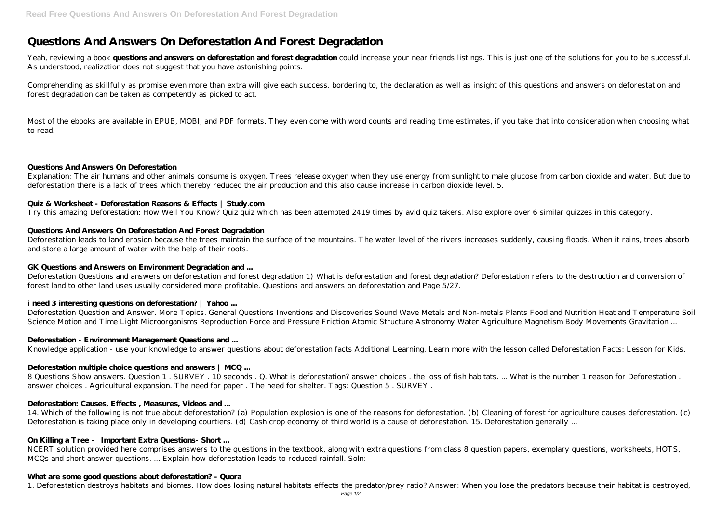# **Questions And Answers On Deforestation And Forest Degradation**

Yeah, reviewing a book **questions and answers on deforestation and forest degradation** could increase your near friends listings. This is just one of the solutions for you to be successful. As understood, realization does not suggest that you have astonishing points.

Comprehending as skillfully as promise even more than extra will give each success. bordering to, the declaration as well as insight of this questions and answers on deforestation and forest degradation can be taken as competently as picked to act.

Most of the ebooks are available in EPUB, MOBI, and PDF formats. They even come with word counts and reading time estimates, if you take that into consideration when choosing what to read.

#### **Questions And Answers On Deforestation**

Explanation: The air humans and other animals consume is oxygen. Trees release oxygen when they use energy from sunlight to male glucose from carbon dioxide and water. But due to deforestation there is a lack of trees which thereby reduced the air production and this also cause increase in carbon dioxide level. 5.

#### **Quiz & Worksheet - Deforestation Reasons & Effects | Study.com**

Try this amazing Deforestation: How Well You Know? Quiz quiz which has been attempted 2419 times by avid quiz takers. Also explore over 6 similar quizzes in this category.

#### **Questions And Answers On Deforestation And Forest Degradation**

8 Questions Show answers. Question 1 . SURVEY . 10 seconds . Q. What is deforestation? answer choices . the loss of fish habitats. ... What is the number 1 reason for Deforestation . answer choices . Agricultural expansion. The need for paper . The need for shelter. Tags: Question 5 . SURVEY .

14. Which of the following is not true about deforestation? (a) Population explosion is one of the reasons for deforestation. (b) Cleaning of forest for agriculture causes deforestation. (c) Deforestation is taking place only in developing courtiers. (d) Cash crop economy of third world is a cause of deforestation. 15. Deforestation generally ...

Deforestation leads to land erosion because the trees maintain the surface of the mountains. The water level of the rivers increases suddenly, causing floods. When it rains, trees absorb and store a large amount of water with the help of their roots.

# **GK Questions and Answers on Environment Degradation and ...**

Deforestation Questions and answers on deforestation and forest degradation 1) What is deforestation and forest degradation? Deforestation refers to the destruction and conversion of forest land to other land uses usually considered more profitable. Questions and answers on deforestation and Page 5/27.

# **i need 3 interesting questions on deforestation? | Yahoo ...**

Deforestation Question and Answer. More Topics. General Questions Inventions and Discoveries Sound Wave Metals and Non-metals Plants Food and Nutrition Heat and Temperature Soil Science Motion and Time Light Microorganisms Reproduction Force and Pressure Friction Atomic Structure Astronomy Water Agriculture Magnetism Body Movements Gravitation ...

#### **Deforestation - Environment Management Questions and ...**

Knowledge application - use your knowledge to answer questions about deforestation facts Additional Learning. Learn more with the lesson called Deforestation Facts: Lesson for Kids.

# **Deforestation multiple choice questions and answers | MCQ ...**

# **Deforestation: Causes, Effects , Measures, Videos and ...**

# **On Killing a Tree – Important Extra Questions- Short ...**

NCERT solution provided here comprises answers to the questions in the textbook, along with extra questions from class 8 question papers, exemplary questions, worksheets, HOTS, MCQs and short answer questions. ... Explain how deforestation leads to reduced rainfall. Soln:

#### **What are some good questions about deforestation? - Quora**

1. Deforestation destroys habitats and biomes. How does losing natural habitats effects the predator/prey ratio? Answer: When you lose the predators because their habitat is destroyed,